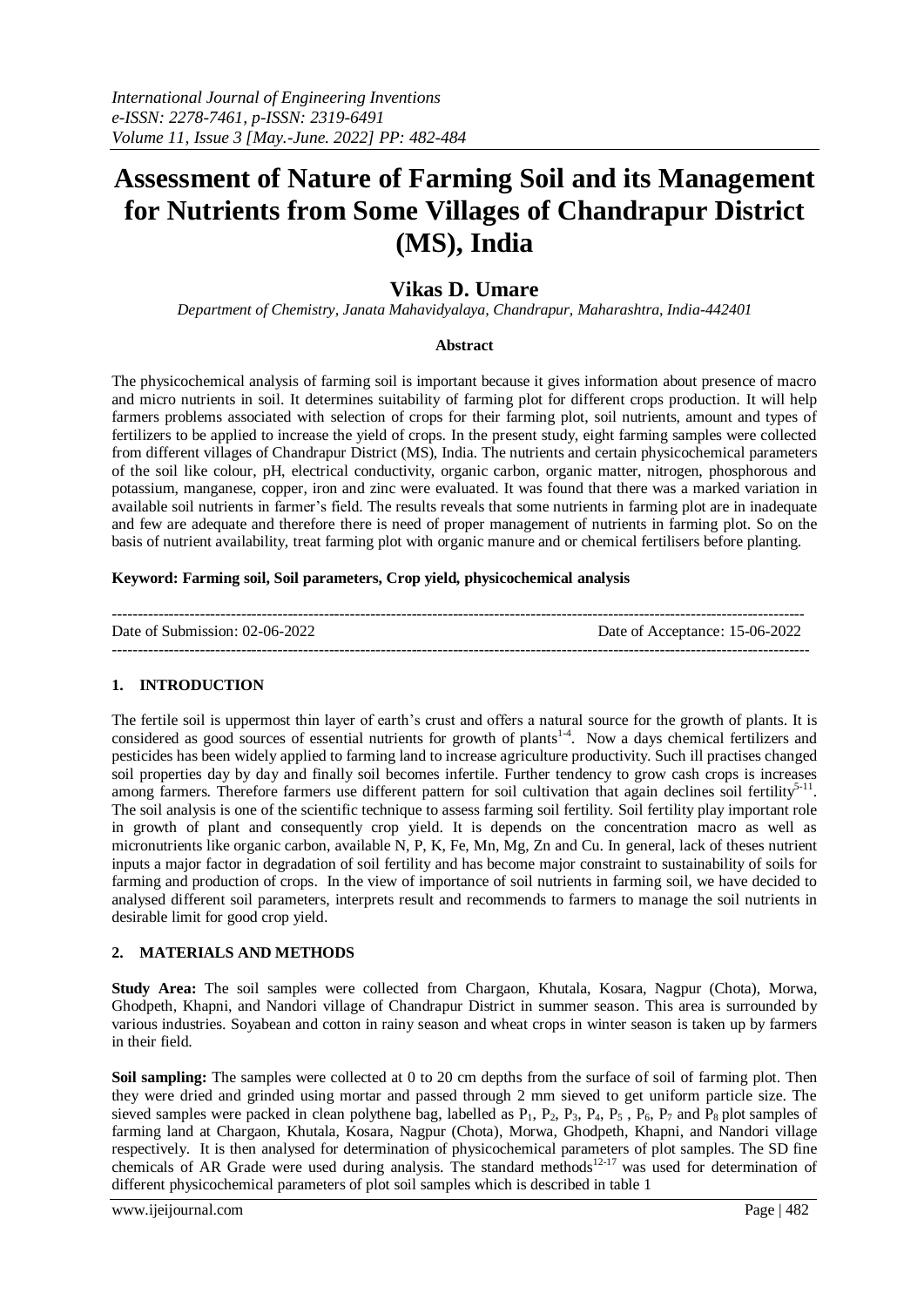# **Assessment of Nature of Farming Soil and its Management for Nutrients from Some Villages of Chandrapur District (MS), India**

# **Vikas D. Umare**

*Department of Chemistry, Janata Mahavidyalaya, Chandrapur, Maharashtra, India-442401*

#### **Abstract**

The physicochemical analysis of farming soil is important because it gives information about presence of macro and micro nutrients in soil. It determines suitability of farming plot for different crops production. It will help farmers problems associated with selection of crops for their farming plot, soil nutrients, amount and types of fertilizers to be applied to increase the yield of crops. In the present study, eight farming samples were collected from different villages of Chandrapur District (MS), India. The nutrients and certain physicochemical parameters of the soil like colour, pH, electrical conductivity, organic carbon, organic matter, nitrogen, phosphorous and potassium, manganese, copper, iron and zinc were evaluated. It was found that there was a marked variation in available soil nutrients in farmer's field. The results reveals that some nutrients in farming plot are in inadequate and few are adequate and therefore there is need of proper management of nutrients in farming plot. So on the basis of nutrient availability, treat farming plot with organic manure and or chemical fertilisers before planting.

#### **Keyword: Farming soil, Soil parameters, Crop yield, physicochemical analysis**

| Date of Submission: $02-06-2022$ | Date of Acceptance: 15-06-2022 |
|----------------------------------|--------------------------------|
|                                  |                                |

# **1. INTRODUCTION**

The fertile soil is uppermost thin layer of earth's crust and offers a natural source for the growth of plants. It is considered as good sources of essential nutrients for growth of plants<sup>1-4</sup>. Now a days chemical fertilizers and pesticides has been widely applied to farming land to increase agriculture productivity. Such ill practises changed soil properties day by day and finally soil becomes infertile. Further tendency to grow cash crops is increases among farmers. Therefore farmers use different pattern for soil cultivation that again declines soil fertility<sup>5-11</sup>. The soil analysis is one of the scientific technique to assess farming soil fertility. Soil fertility play important role in growth of plant and consequently crop yield. It is depends on the concentration macro as well as micronutrients like organic carbon, available N, P, K, Fe, Mn, Mg, Zn and Cu. In general, lack of theses nutrient inputs a major factor in degradation of soil fertility and has become major constraint to sustainability of soils for farming and production of crops. In the view of importance of soil nutrients in farming soil, we have decided to analysed different soil parameters, interprets result and recommends to farmers to manage the soil nutrients in desirable limit for good crop yield.

#### **2. MATERIALS AND METHODS**

**Study Area:** The soil samples were collected from Chargaon, Khutala, Kosara, Nagpur (Chota), Morwa, Ghodpeth, Khapni, and Nandori village of Chandrapur District in summer season. This area is surrounded by various industries. Soyabean and cotton in rainy season and wheat crops in winter season is taken up by farmers in their field.

**Soil sampling:** The samples were collected at 0 to 20 cm depths from the surface of soil of farming plot. Then they were dried and grinded using mortar and passed through 2 mm sieved to get uniform particle size. The sieved samples were packed in clean polythene bag, labelled as  $P_1$ ,  $P_2$ ,  $P_3$ ,  $P_4$ ,  $P_5$ ,  $P_6$ ,  $P_7$  and  $P_8$  plot samples of farming land at Chargaon, Khutala, Kosara, Nagpur (Chota), Morwa, Ghodpeth, Khapni, and Nandori village respectively. It is then analysed for determination of physicochemical parameters of plot samples. The SD fine chemicals of AR Grade were used during analysis. The standard methods<sup>12-17</sup> was used for determination of different physicochemical parameters of plot soil samples which is described in table 1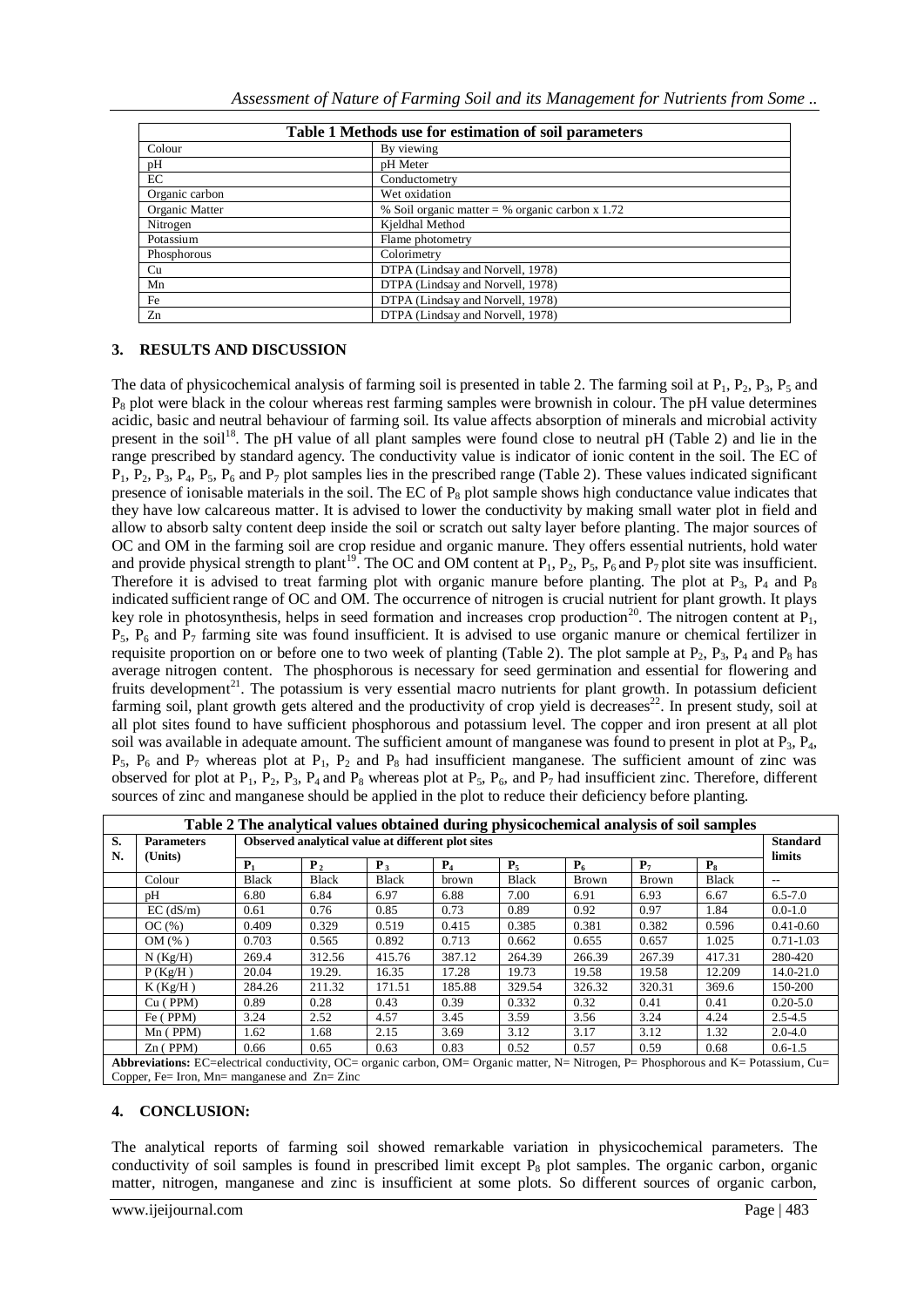| Table 1 Methods use for estimation of soil parameters |                                                   |  |  |  |
|-------------------------------------------------------|---------------------------------------------------|--|--|--|
| Colour                                                | By viewing                                        |  |  |  |
| pH                                                    | pH Meter                                          |  |  |  |
| EC                                                    | Conductometry                                     |  |  |  |
| Organic carbon                                        | Wet oxidation                                     |  |  |  |
| Organic Matter                                        | % Soil organic matter = % organic carbon $x$ 1.72 |  |  |  |
| Nitrogen                                              | Kjeldhal Method                                   |  |  |  |
| Potassium                                             | Flame photometry                                  |  |  |  |
| Phosphorous                                           | Colorimetry                                       |  |  |  |
| Cu                                                    | DTPA (Lindsay and Norvell, 1978)                  |  |  |  |
| Mn                                                    | DTPA (Lindsay and Norvell, 1978)                  |  |  |  |
| Fe                                                    | DTPA (Lindsay and Norvell, 1978)                  |  |  |  |
| Zn                                                    | DTPA (Lindsay and Norvell, 1978)                  |  |  |  |

# **3. RESULTS AND DISCUSSION**

The data of physicochemical analysis of farming soil is presented in table 2. The farming soil at  $P_1$ ,  $P_2$ ,  $P_3$ ,  $P_5$  and  $P_8$  plot were black in the colour whereas rest farming samples were brownish in colour. The pH value determines acidic, basic and neutral behaviour of farming soil. Its value affects absorption of minerals and microbial activity present in the soil<sup>18</sup>. The pH value of all plant samples were found close to neutral pH (Table 2) and lie in the range prescribed by standard agency. The conductivity value is indicator of ionic content in the soil. The EC of  $P_1$ ,  $P_2$ ,  $P_3$ ,  $P_4$ ,  $P_5$ ,  $P_6$  and  $P_7$  plot samples lies in the prescribed range (Table 2). These values indicated significant presence of ionisable materials in the soil. The EC of  $P_8$  plot sample shows high conductance value indicates that they have low calcareous matter. It is advised to lower the conductivity by making small water plot in field and allow to absorb salty content deep inside the soil or scratch out salty layer before planting. The major sources of OC and OM in the farming soil are crop residue and organic manure. They offers essential nutrients, hold water and provide physical strength to plant<sup>19</sup>. The OC and OM content at  $P_1$ ,  $P_2$ ,  $P_5$ ,  $P_6$  and  $P_7$  plot site was insufficient. Therefore it is advised to treat farming plot with organic manure before planting. The plot at  $P_3$ ,  $P_4$  and  $P_8$ indicated sufficient range of OC and OM. The occurrence of nitrogen is crucial nutrient for plant growth. It plays key role in photosynthesis, helps in seed formation and increases crop production<sup>20</sup>. The nitrogen content at  $\vec{P}_1$ ,  $P_5$ ,  $P_6$  and  $P_7$  farming site was found insufficient. It is advised to use organic manure or chemical fertilizer in requisite proportion on or before one to two week of planting (Table 2). The plot sample at  $P_2$ ,  $P_3$ ,  $P_4$  and  $P_8$  has average nitrogen content. The phosphorous is necessary for seed germination and essential for flowering and fruits development<sup>21</sup>. The potassium is very essential macro nutrients for plant growth. In potassium deficient farming soil, plant growth gets altered and the productivity of crop yield is decreases $^{22}$ . In present study, soil at all plot sites found to have sufficient phosphorous and potassium level. The copper and iron present at all plot soil was available in adequate amount. The sufficient amount of manganese was found to present in plot at  $P_3$ ,  $P_4$ ,  $P_5$ ,  $P_6$  and  $P_7$  whereas plot at  $P_1$ ,  $P_2$  and  $P_8$  had insufficient manganese. The sufficient amount of zinc was observed for plot at  $P_1$ ,  $P_2$ ,  $P_3$ ,  $P_4$  and  $P_8$  whereas plot at  $P_5$ ,  $P_6$ , and  $P_7$  had insufficient zinc. Therefore, different sources of zinc and manganese should be applied in the plot to reduce their deficiency before planting.

| Table 2 The analytical values obtained during physicochemical analysis of soil samples                                                                                                 |                   |                                                   |                  |                |        |              |        |                |              |                 |
|----------------------------------------------------------------------------------------------------------------------------------------------------------------------------------------|-------------------|---------------------------------------------------|------------------|----------------|--------|--------------|--------|----------------|--------------|-----------------|
| S.                                                                                                                                                                                     | <b>Parameters</b> | Observed analytical value at different plot sites |                  |                |        |              |        |                |              | <b>Standard</b> |
| N.                                                                                                                                                                                     | (Units)           | P <sub>1</sub>                                    | $\mathbf{P}_{2}$ | P <sub>3</sub> | $P_4$  | $P_5$        | $P_6$  | P <sub>7</sub> | $P_8$        | limits          |
|                                                                                                                                                                                        | Colour            | <b>Black</b>                                      | Black            | <b>Black</b>   | brown  | <b>Black</b> | Brown  | Brown          | <b>Black</b> | $- -$           |
|                                                                                                                                                                                        | pH                | 6.80                                              | 6.84             | 6.97           | 6.88   | 7.00         | 6.91   | 6.93           | 6.67         | $6.5 - 7.0$     |
|                                                                                                                                                                                        | $EC$ ( $dS/m$ )   | 0.61                                              | 0.76             | 0.85           | 0.73   | 0.89         | 0.92   | 0.97           | 1.84         | $0.0 - 1.0$     |
|                                                                                                                                                                                        | OC(%)             | 0.409                                             | 0.329            | 0.519          | 0.415  | 0.385        | 0.381  | 0.382          | 0.596        | $0.41 - 0.60$   |
|                                                                                                                                                                                        | OM(%)             | 0.703                                             | 0.565            | 0.892          | 0.713  | 0.662        | 0.655  | 0.657          | 1.025        | $0.71 - 1.03$   |
|                                                                                                                                                                                        | $N$ (Kg/H)        | 269.4                                             | 312.56           | 415.76         | 387.12 | 264.39       | 266.39 | 267.39         | 417.31       | 280-420         |
|                                                                                                                                                                                        | P(Kg/H)           | 20.04                                             | 19.29.           | 16.35          | 17.28  | 19.73        | 19.58  | 19.58          | 12.209       | 14.0-21.0       |
|                                                                                                                                                                                        | K(Kg/H)           | 284.26                                            | 211.32           | 171.51         | 185.88 | 329.54       | 326.32 | 320.31         | 369.6        | 150-200         |
|                                                                                                                                                                                        | $Cu$ (PPM)        | 0.89                                              | 0.28             | 0.43           | 0.39   | 0.332        | 0.32   | 0.41           | 0.41         | $0.20 - 5.0$    |
|                                                                                                                                                                                        | Fe (PPM)          | 3.24                                              | 2.52             | 4.57           | 3.45   | 3.59         | 3.56   | 3.24           | 4.24         | $2.5 - 4.5$     |
|                                                                                                                                                                                        | $Mn$ (PPM)        | 1.62                                              | 1.68             | 2.15           | 3.69   | 3.12         | 3.17   | 3.12           | 1.32         | $2.0 - 4.0$     |
|                                                                                                                                                                                        | $Zn$ (PPM)        | 0.66                                              | 0.65             | 0.63           | 0.83   | 0.52         | 0.57   | 0.59           | 0.68         | $0.6 - 1.5$     |
| Abbreviations: EC=electrical conductivity, OC= organic carbon, OM= Organic matter, N= Nitrogen, P= Phosphorous and K= Potassium, Cu=<br>Copper, Fe= Iron, Mn= manganese and $Zn= Zinc$ |                   |                                                   |                  |                |        |              |        |                |              |                 |

# **4. CONCLUSION:**

The analytical reports of farming soil showed remarkable variation in physicochemical parameters. The conductivity of soil samples is found in prescribed limit except  $P_8$  plot samples. The organic carbon, organic matter, nitrogen, manganese and zinc is insufficient at some plots. So different sources of organic carbon,